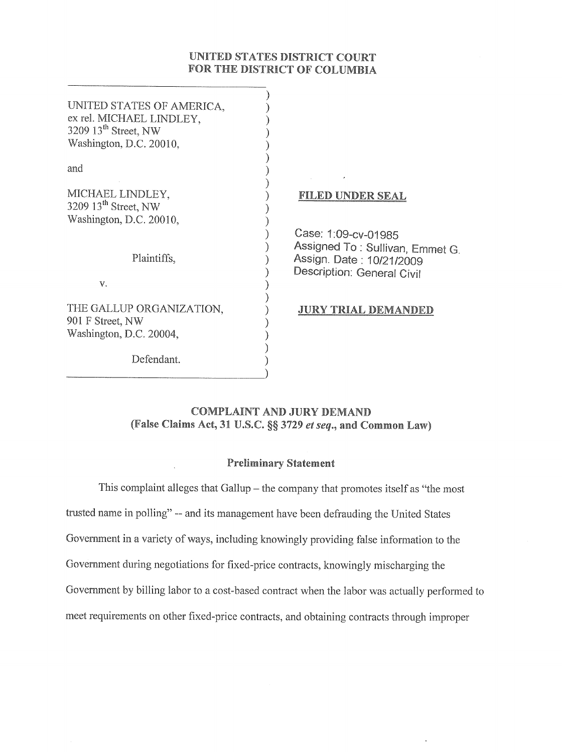# UNITED STATES DISTRICT COURT FOR THE DISTRICT OF COLUMBIA

| UNITED STATES OF AMERICA,<br>ex rel. MICHAEL LINDLEY,<br>3209 $13^{\text{th}}$ Street, NW<br>Washington, D.C. 20010, |                                                                                                                      |
|----------------------------------------------------------------------------------------------------------------------|----------------------------------------------------------------------------------------------------------------------|
| and                                                                                                                  | $\prime$                                                                                                             |
| MICHAEL LINDLEY.<br>3209 $13th$ Street, NW<br>Washington, D.C. 20010,                                                | FILED UNDER SEAL                                                                                                     |
| Plaintiffs,                                                                                                          | Case: 1:09-cv-01985<br>Assigned To: Sullivan, Emmet<br>Assign. Date: 10/21/2009<br><b>Description: General Civil</b> |
| V.                                                                                                                   |                                                                                                                      |
| THE GALLUP ORGANIZATION,<br>901 F Street, NW<br>Washington, D.C. 20004,                                              | <b>JURY TRIAL DEMANDED</b>                                                                                           |
| Defendant.                                                                                                           |                                                                                                                      |
|                                                                                                                      |                                                                                                                      |

G.

# **COMPLAINT AND JURY DEMAND** (False Claims Act, 31 U.S.C. §§ 3729 et seq., and Common Law)

# **Preliminary Statement**

This complaint alleges that Gallup  $-$  the company that promotes itself as "the most trusted name in polling" -- and its management have been defrauding the United States Government in a variety of ways, including knowingly providing false information to the Government during negotiations for fixed-price contracts, knowingly mischarging the Government by billing labor to a cost-based contract when the labor was actually performed to meet requirements on other fixed-price contracts, and obtaining contracts through improper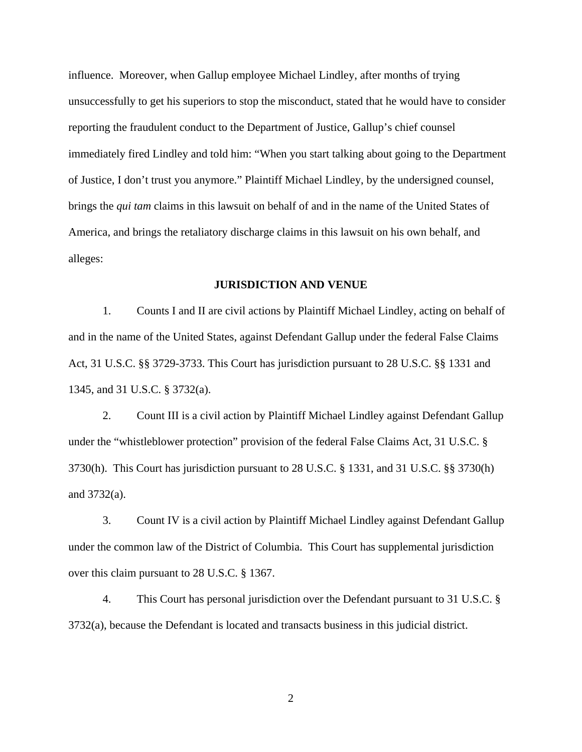influence. Moreover, when Gallup employee Michael Lindley, after months of trying unsuccessfully to get his superiors to stop the misconduct, stated that he would have to consider reporting the fraudulent conduct to the Department of Justice, Gallup's chief counsel immediately fired Lindley and told him: "When you start talking about going to the Department of Justice, I don't trust you anymore." Plaintiff Michael Lindley, by the undersigned counsel, brings the *qui tam* claims in this lawsuit on behalf of and in the name of the United States of America, and brings the retaliatory discharge claims in this lawsuit on his own behalf, and alleges:

## **JURISDICTION AND VENUE**

1. Counts I and II are civil actions by Plaintiff Michael Lindley, acting on behalf of and in the name of the United States, against Defendant Gallup under the federal False Claims Act, 31 U.S.C. §§ 3729-3733. This Court has jurisdiction pursuant to 28 U.S.C. §§ 1331 and 1345, and 31 U.S.C. § 3732(a).

2. Count III is a civil action by Plaintiff Michael Lindley against Defendant Gallup under the "whistleblower protection" provision of the federal False Claims Act, 31 U.S.C. § 3730(h). This Court has jurisdiction pursuant to 28 U.S.C. § 1331, and 31 U.S.C. §§ 3730(h) and 3732(a).

3. Count IV is a civil action by Plaintiff Michael Lindley against Defendant Gallup under the common law of the District of Columbia. This Court has supplemental jurisdiction over this claim pursuant to 28 U.S.C. § 1367.

4. This Court has personal jurisdiction over the Defendant pursuant to 31 U.S.C. § 3732(a), because the Defendant is located and transacts business in this judicial district.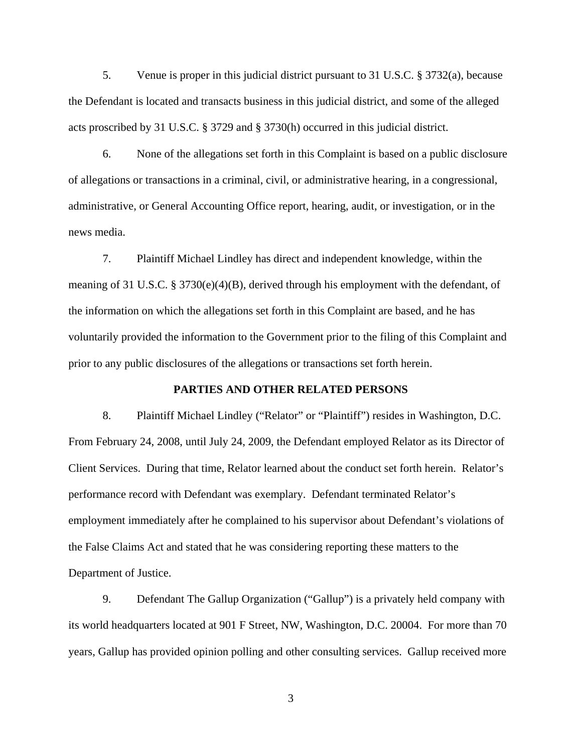5. Venue is proper in this judicial district pursuant to 31 U.S.C. § 3732(a), because the Defendant is located and transacts business in this judicial district, and some of the alleged acts proscribed by 31 U.S.C. § 3729 and § 3730(h) occurred in this judicial district.

6. None of the allegations set forth in this Complaint is based on a public disclosure of allegations or transactions in a criminal, civil, or administrative hearing, in a congressional, administrative, or General Accounting Office report, hearing, audit, or investigation, or in the news media.

7. Plaintiff Michael Lindley has direct and independent knowledge, within the meaning of 31 U.S.C. § 3730(e)(4)(B), derived through his employment with the defendant, of the information on which the allegations set forth in this Complaint are based, and he has voluntarily provided the information to the Government prior to the filing of this Complaint and prior to any public disclosures of the allegations or transactions set forth herein.

## **PARTIES AND OTHER RELATED PERSONS**

8. Plaintiff Michael Lindley ("Relator" or "Plaintiff") resides in Washington, D.C. From February 24, 2008, until July 24, 2009, the Defendant employed Relator as its Director of Client Services. During that time, Relator learned about the conduct set forth herein. Relator's performance record with Defendant was exemplary. Defendant terminated Relator's employment immediately after he complained to his supervisor about Defendant's violations of the False Claims Act and stated that he was considering reporting these matters to the Department of Justice.

9. Defendant The Gallup Organization ("Gallup") is a privately held company with its world headquarters located at 901 F Street, NW, Washington, D.C. 20004. For more than 70 years, Gallup has provided opinion polling and other consulting services. Gallup received more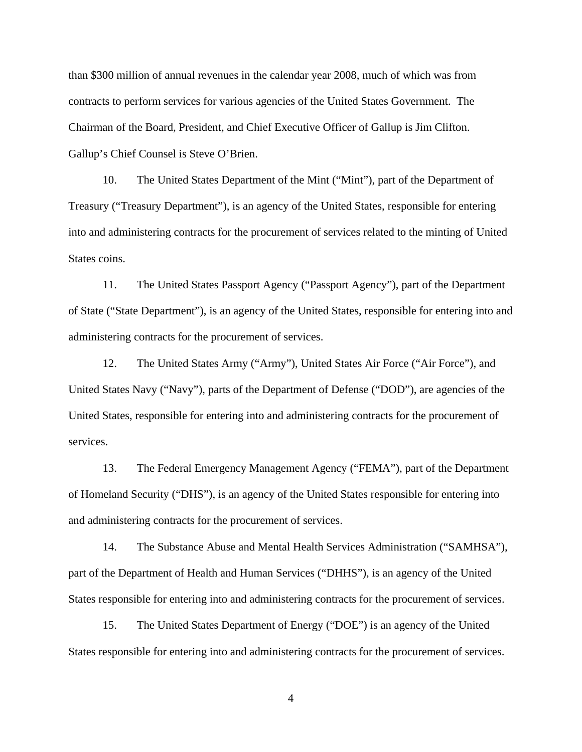than \$300 million of annual revenues in the calendar year 2008, much of which was from contracts to perform services for various agencies of the United States Government. The Chairman of the Board, President, and Chief Executive Officer of Gallup is Jim Clifton. Gallup's Chief Counsel is Steve O'Brien.

10. The United States Department of the Mint ("Mint"), part of the Department of Treasury ("Treasury Department"), is an agency of the United States, responsible for entering into and administering contracts for the procurement of services related to the minting of United States coins.

11. The United States Passport Agency ("Passport Agency"), part of the Department of State ("State Department"), is an agency of the United States, responsible for entering into and administering contracts for the procurement of services.

12. The United States Army ("Army"), United States Air Force ("Air Force"), and United States Navy ("Navy"), parts of the Department of Defense ("DOD"), are agencies of the United States, responsible for entering into and administering contracts for the procurement of services.

13. The Federal Emergency Management Agency ("FEMA"), part of the Department of Homeland Security ("DHS"), is an agency of the United States responsible for entering into and administering contracts for the procurement of services.

14. The Substance Abuse and Mental Health Services Administration ("SAMHSA"), part of the Department of Health and Human Services ("DHHS"), is an agency of the United States responsible for entering into and administering contracts for the procurement of services.

15. The United States Department of Energy ("DOE") is an agency of the United States responsible for entering into and administering contracts for the procurement of services.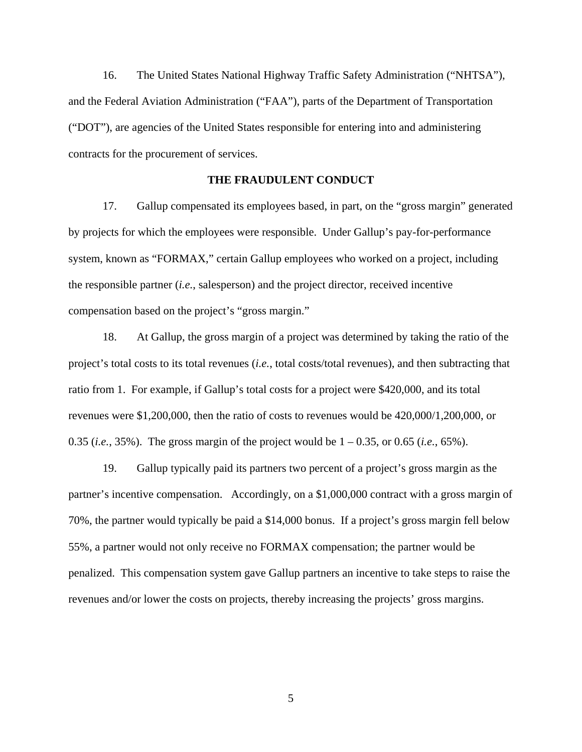16. The United States National Highway Traffic Safety Administration ("NHTSA"), and the Federal Aviation Administration ("FAA"), parts of the Department of Transportation ("DOT"), are agencies of the United States responsible for entering into and administering contracts for the procurement of services.

## **THE FRAUDULENT CONDUCT**

17. Gallup compensated its employees based, in part, on the "gross margin" generated by projects for which the employees were responsible. Under Gallup's pay-for-performance system, known as "FORMAX," certain Gallup employees who worked on a project, including the responsible partner (*i.e.*, salesperson) and the project director, received incentive compensation based on the project's "gross margin."

18. At Gallup, the gross margin of a project was determined by taking the ratio of the project's total costs to its total revenues (*i.e.*, total costs/total revenues), and then subtracting that ratio from 1. For example, if Gallup's total costs for a project were \$420,000, and its total revenues were \$1,200,000, then the ratio of costs to revenues would be 420,000/1,200,000, or 0.35 (*i.e.*, 35%). The gross margin of the project would be 1 – 0.35, or 0.65 (*i.e.*, 65%).

19. Gallup typically paid its partners two percent of a project's gross margin as the partner's incentive compensation. Accordingly, on a \$1,000,000 contract with a gross margin of 70%, the partner would typically be paid a \$14,000 bonus. If a project's gross margin fell below 55%, a partner would not only receive no FORMAX compensation; the partner would be penalized. This compensation system gave Gallup partners an incentive to take steps to raise the revenues and/or lower the costs on projects, thereby increasing the projects' gross margins.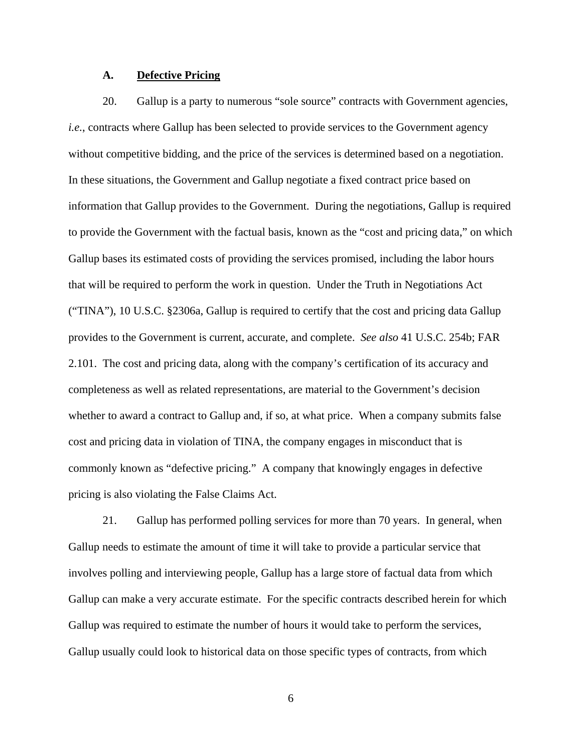## **A. Defective Pricing**

20. Gallup is a party to numerous "sole source" contracts with Government agencies, *i.e.*, contracts where Gallup has been selected to provide services to the Government agency without competitive bidding, and the price of the services is determined based on a negotiation. In these situations, the Government and Gallup negotiate a fixed contract price based on information that Gallup provides to the Government. During the negotiations, Gallup is required to provide the Government with the factual basis, known as the "cost and pricing data," on which Gallup bases its estimated costs of providing the services promised, including the labor hours that will be required to perform the work in question. Under the Truth in Negotiations Act ("TINA"), 10 U.S.C. §2306a, Gallup is required to certify that the cost and pricing data Gallup provides to the Government is current, accurate, and complete. *See also* 41 U.S.C. 254b; FAR 2.101. The cost and pricing data, along with the company's certification of its accuracy and completeness as well as related representations, are material to the Government's decision whether to award a contract to Gallup and, if so, at what price. When a company submits false cost and pricing data in violation of TINA, the company engages in misconduct that is commonly known as "defective pricing." A company that knowingly engages in defective pricing is also violating the False Claims Act.

21. Gallup has performed polling services for more than 70 years. In general, when Gallup needs to estimate the amount of time it will take to provide a particular service that involves polling and interviewing people, Gallup has a large store of factual data from which Gallup can make a very accurate estimate. For the specific contracts described herein for which Gallup was required to estimate the number of hours it would take to perform the services, Gallup usually could look to historical data on those specific types of contracts, from which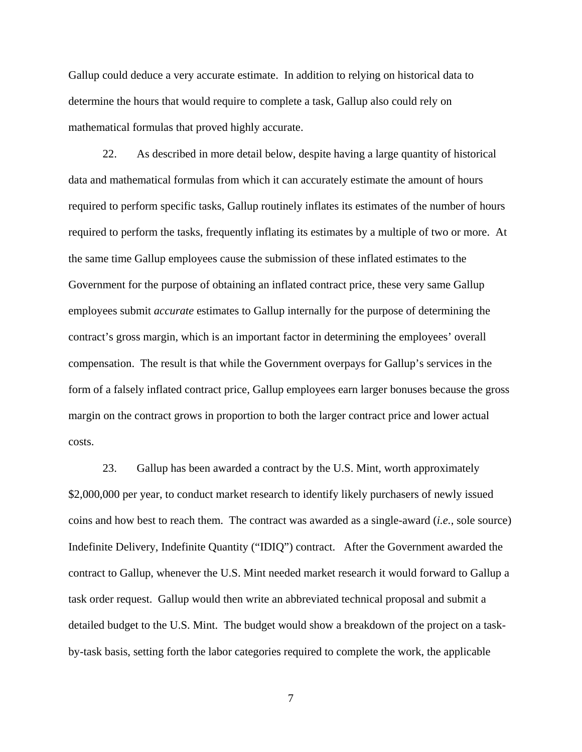Gallup could deduce a very accurate estimate. In addition to relying on historical data to determine the hours that would require to complete a task, Gallup also could rely on mathematical formulas that proved highly accurate.

22. As described in more detail below, despite having a large quantity of historical data and mathematical formulas from which it can accurately estimate the amount of hours required to perform specific tasks, Gallup routinely inflates its estimates of the number of hours required to perform the tasks, frequently inflating its estimates by a multiple of two or more. At the same time Gallup employees cause the submission of these inflated estimates to the Government for the purpose of obtaining an inflated contract price, these very same Gallup employees submit *accurate* estimates to Gallup internally for the purpose of determining the contract's gross margin, which is an important factor in determining the employees' overall compensation. The result is that while the Government overpays for Gallup's services in the form of a falsely inflated contract price, Gallup employees earn larger bonuses because the gross margin on the contract grows in proportion to both the larger contract price and lower actual costs.

23. Gallup has been awarded a contract by the U.S. Mint, worth approximately \$2,000,000 per year, to conduct market research to identify likely purchasers of newly issued coins and how best to reach them. The contract was awarded as a single-award (*i.e.*, sole source) Indefinite Delivery, Indefinite Quantity ("IDIQ") contract. After the Government awarded the contract to Gallup, whenever the U.S. Mint needed market research it would forward to Gallup a task order request. Gallup would then write an abbreviated technical proposal and submit a detailed budget to the U.S. Mint. The budget would show a breakdown of the project on a taskby-task basis, setting forth the labor categories required to complete the work, the applicable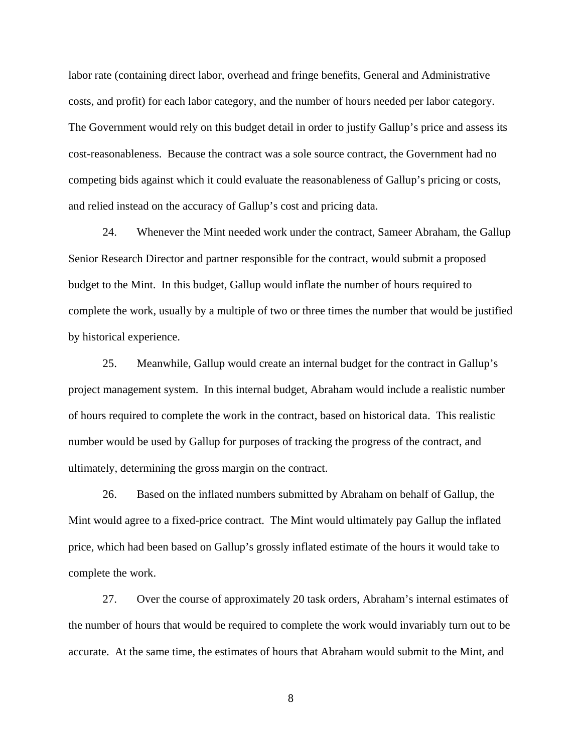labor rate (containing direct labor, overhead and fringe benefits, General and Administrative costs, and profit) for each labor category, and the number of hours needed per labor category. The Government would rely on this budget detail in order to justify Gallup's price and assess its cost-reasonableness. Because the contract was a sole source contract, the Government had no competing bids against which it could evaluate the reasonableness of Gallup's pricing or costs, and relied instead on the accuracy of Gallup's cost and pricing data.

24. Whenever the Mint needed work under the contract, Sameer Abraham, the Gallup Senior Research Director and partner responsible for the contract, would submit a proposed budget to the Mint. In this budget, Gallup would inflate the number of hours required to complete the work, usually by a multiple of two or three times the number that would be justified by historical experience.

25. Meanwhile, Gallup would create an internal budget for the contract in Gallup's project management system. In this internal budget, Abraham would include a realistic number of hours required to complete the work in the contract, based on historical data. This realistic number would be used by Gallup for purposes of tracking the progress of the contract, and ultimately, determining the gross margin on the contract.

26. Based on the inflated numbers submitted by Abraham on behalf of Gallup, the Mint would agree to a fixed-price contract. The Mint would ultimately pay Gallup the inflated price, which had been based on Gallup's grossly inflated estimate of the hours it would take to complete the work.

27. Over the course of approximately 20 task orders, Abraham's internal estimates of the number of hours that would be required to complete the work would invariably turn out to be accurate. At the same time, the estimates of hours that Abraham would submit to the Mint, and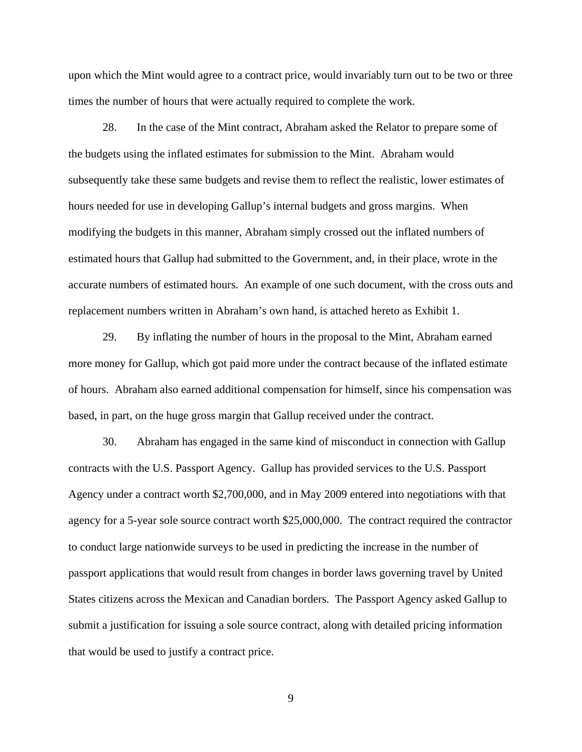upon which the Mint would agree to a contract price, would invariably turn out to be two or three times the number of hours that were actually required to complete the work.

28. In the case of the Mint contract, Abraham asked the Relator to prepare some of the budgets using the inflated estimates for submission to the Mint. Abraham would subsequently take these same budgets and revise them to reflect the realistic, lower estimates of hours needed for use in developing Gallup's internal budgets and gross margins. When modifying the budgets in this manner, Abraham simply crossed out the inflated numbers of estimated hours that Gallup had submitted to the Government, and, in their place, wrote in the accurate numbers of estimated hours. An example of one such document, with the cross outs and replacement numbers written in Abraham's own hand, is attached hereto as Exhibit 1.

29. By inflating the number of hours in the proposal to the Mint, Abraham earned more money for Gallup, which got paid more under the contract because of the inflated estimate of hours. Abraham also earned additional compensation for himself, since his compensation was based, in part, on the huge gross margin that Gallup received under the contract.

30. Abraham has engaged in the same kind of misconduct in connection with Gallup contracts with the U.S. Passport Agency. Gallup has provided services to the U.S. Passport Agency under a contract worth \$2,700,000, and in May 2009 entered into negotiations with that agency for a 5-year sole source contract worth \$25,000,000. The contract required the contractor to conduct large nationwide surveys to be used in predicting the increase in the number of passport applications that would result from changes in border laws governing travel by United States citizens across the Mexican and Canadian borders. The Passport Agency asked Gallup to submit a justification for issuing a sole source contract, along with detailed pricing information that would be used to justify a contract price.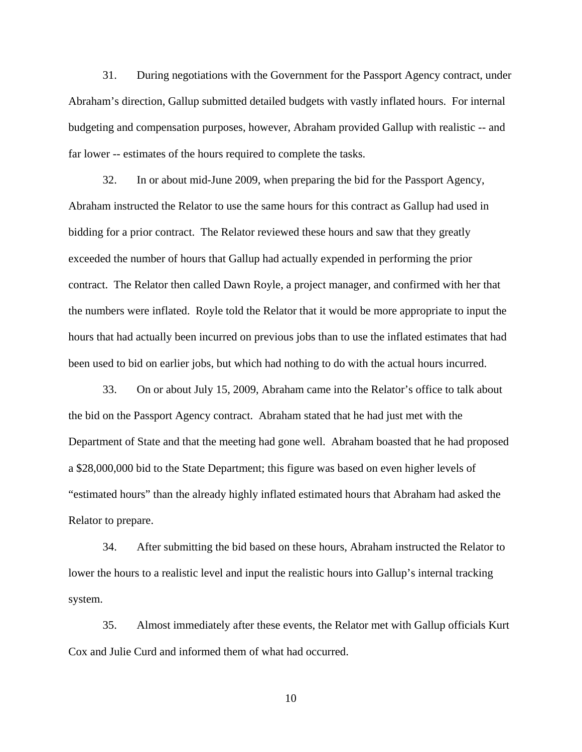31. During negotiations with the Government for the Passport Agency contract, under Abraham's direction, Gallup submitted detailed budgets with vastly inflated hours. For internal budgeting and compensation purposes, however, Abraham provided Gallup with realistic -- and far lower -- estimates of the hours required to complete the tasks.

32. In or about mid-June 2009, when preparing the bid for the Passport Agency, Abraham instructed the Relator to use the same hours for this contract as Gallup had used in bidding for a prior contract. The Relator reviewed these hours and saw that they greatly exceeded the number of hours that Gallup had actually expended in performing the prior contract. The Relator then called Dawn Royle, a project manager, and confirmed with her that the numbers were inflated. Royle told the Relator that it would be more appropriate to input the hours that had actually been incurred on previous jobs than to use the inflated estimates that had been used to bid on earlier jobs, but which had nothing to do with the actual hours incurred.

33. On or about July 15, 2009, Abraham came into the Relator's office to talk about the bid on the Passport Agency contract. Abraham stated that he had just met with the Department of State and that the meeting had gone well. Abraham boasted that he had proposed a \$28,000,000 bid to the State Department; this figure was based on even higher levels of "estimated hours" than the already highly inflated estimated hours that Abraham had asked the Relator to prepare.

34. After submitting the bid based on these hours, Abraham instructed the Relator to lower the hours to a realistic level and input the realistic hours into Gallup's internal tracking system.

35. Almost immediately after these events, the Relator met with Gallup officials Kurt Cox and Julie Curd and informed them of what had occurred.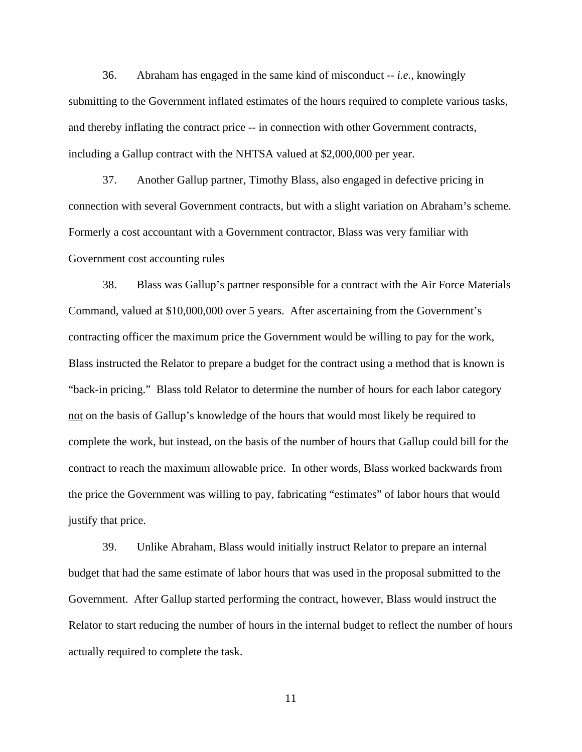36. Abraham has engaged in the same kind of misconduct -- *i.e.*, knowingly submitting to the Government inflated estimates of the hours required to complete various tasks, and thereby inflating the contract price -- in connection with other Government contracts, including a Gallup contract with the NHTSA valued at \$2,000,000 per year.

37. Another Gallup partner, Timothy Blass, also engaged in defective pricing in connection with several Government contracts, but with a slight variation on Abraham's scheme. Formerly a cost accountant with a Government contractor, Blass was very familiar with Government cost accounting rules

38. Blass was Gallup's partner responsible for a contract with the Air Force Materials Command, valued at \$10,000,000 over 5 years. After ascertaining from the Government's contracting officer the maximum price the Government would be willing to pay for the work, Blass instructed the Relator to prepare a budget for the contract using a method that is known is "back-in pricing." Blass told Relator to determine the number of hours for each labor category not on the basis of Gallup's knowledge of the hours that would most likely be required to complete the work, but instead, on the basis of the number of hours that Gallup could bill for the contract to reach the maximum allowable price. In other words, Blass worked backwards from the price the Government was willing to pay, fabricating "estimates" of labor hours that would justify that price.

39. Unlike Abraham, Blass would initially instruct Relator to prepare an internal budget that had the same estimate of labor hours that was used in the proposal submitted to the Government. After Gallup started performing the contract, however, Blass would instruct the Relator to start reducing the number of hours in the internal budget to reflect the number of hours actually required to complete the task.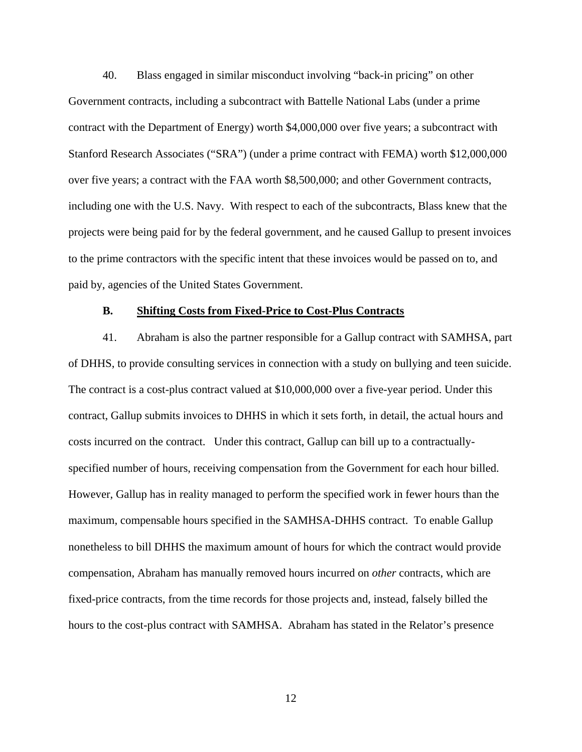40. Blass engaged in similar misconduct involving "back-in pricing" on other Government contracts, including a subcontract with Battelle National Labs (under a prime contract with the Department of Energy) worth \$4,000,000 over five years; a subcontract with Stanford Research Associates ("SRA") (under a prime contract with FEMA) worth \$12,000,000 over five years; a contract with the FAA worth \$8,500,000; and other Government contracts, including one with the U.S. Navy. With respect to each of the subcontracts, Blass knew that the projects were being paid for by the federal government, and he caused Gallup to present invoices to the prime contractors with the specific intent that these invoices would be passed on to, and paid by, agencies of the United States Government.

## **B. Shifting Costs from Fixed-Price to Cost-Plus Contracts**

41. Abraham is also the partner responsible for a Gallup contract with SAMHSA, part of DHHS, to provide consulting services in connection with a study on bullying and teen suicide. The contract is a cost-plus contract valued at \$10,000,000 over a five-year period. Under this contract, Gallup submits invoices to DHHS in which it sets forth, in detail, the actual hours and costs incurred on the contract. Under this contract, Gallup can bill up to a contractuallyspecified number of hours, receiving compensation from the Government for each hour billed. However, Gallup has in reality managed to perform the specified work in fewer hours than the maximum, compensable hours specified in the SAMHSA-DHHS contract. To enable Gallup nonetheless to bill DHHS the maximum amount of hours for which the contract would provide compensation, Abraham has manually removed hours incurred on *other* contracts, which are fixed-price contracts, from the time records for those projects and, instead, falsely billed the hours to the cost-plus contract with SAMHSA. Abraham has stated in the Relator's presence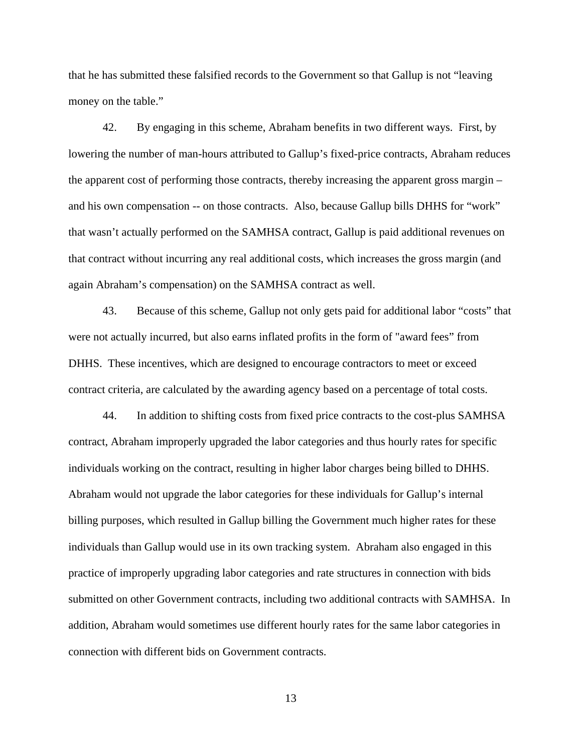that he has submitted these falsified records to the Government so that Gallup is not "leaving money on the table."

42. By engaging in this scheme, Abraham benefits in two different ways. First, by lowering the number of man-hours attributed to Gallup's fixed-price contracts, Abraham reduces the apparent cost of performing those contracts, thereby increasing the apparent gross margin – and his own compensation -- on those contracts. Also, because Gallup bills DHHS for "work" that wasn't actually performed on the SAMHSA contract, Gallup is paid additional revenues on that contract without incurring any real additional costs, which increases the gross margin (and again Abraham's compensation) on the SAMHSA contract as well.

43. Because of this scheme, Gallup not only gets paid for additional labor "costs" that were not actually incurred, but also earns inflated profits in the form of "award fees" from DHHS. These incentives, which are designed to encourage contractors to meet or exceed contract criteria, are calculated by the awarding agency based on a percentage of total costs.

44. In addition to shifting costs from fixed price contracts to the cost-plus SAMHSA contract, Abraham improperly upgraded the labor categories and thus hourly rates for specific individuals working on the contract, resulting in higher labor charges being billed to DHHS. Abraham would not upgrade the labor categories for these individuals for Gallup's internal billing purposes, which resulted in Gallup billing the Government much higher rates for these individuals than Gallup would use in its own tracking system. Abraham also engaged in this practice of improperly upgrading labor categories and rate structures in connection with bids submitted on other Government contracts, including two additional contracts with SAMHSA. In addition, Abraham would sometimes use different hourly rates for the same labor categories in connection with different bids on Government contracts.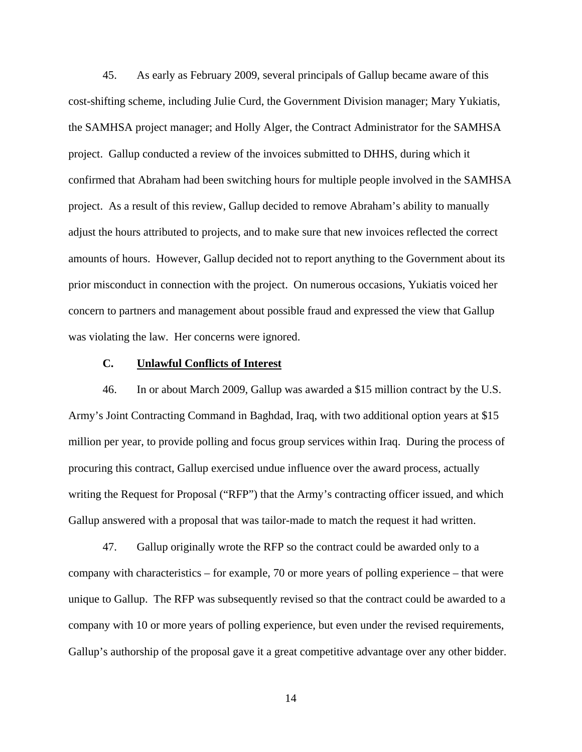45. As early as February 2009, several principals of Gallup became aware of this cost-shifting scheme, including Julie Curd, the Government Division manager; Mary Yukiatis, the SAMHSA project manager; and Holly Alger, the Contract Administrator for the SAMHSA project. Gallup conducted a review of the invoices submitted to DHHS, during which it confirmed that Abraham had been switching hours for multiple people involved in the SAMHSA project. As a result of this review, Gallup decided to remove Abraham's ability to manually adjust the hours attributed to projects, and to make sure that new invoices reflected the correct amounts of hours. However, Gallup decided not to report anything to the Government about its prior misconduct in connection with the project. On numerous occasions, Yukiatis voiced her concern to partners and management about possible fraud and expressed the view that Gallup was violating the law. Her concerns were ignored.

# **C. Unlawful Conflicts of Interest**

46. In or about March 2009, Gallup was awarded a \$15 million contract by the U.S. Army's Joint Contracting Command in Baghdad, Iraq, with two additional option years at \$15 million per year, to provide polling and focus group services within Iraq. During the process of procuring this contract, Gallup exercised undue influence over the award process, actually writing the Request for Proposal ("RFP") that the Army's contracting officer issued, and which Gallup answered with a proposal that was tailor-made to match the request it had written.

47. Gallup originally wrote the RFP so the contract could be awarded only to a company with characteristics – for example, 70 or more years of polling experience – that were unique to Gallup. The RFP was subsequently revised so that the contract could be awarded to a company with 10 or more years of polling experience, but even under the revised requirements, Gallup's authorship of the proposal gave it a great competitive advantage over any other bidder.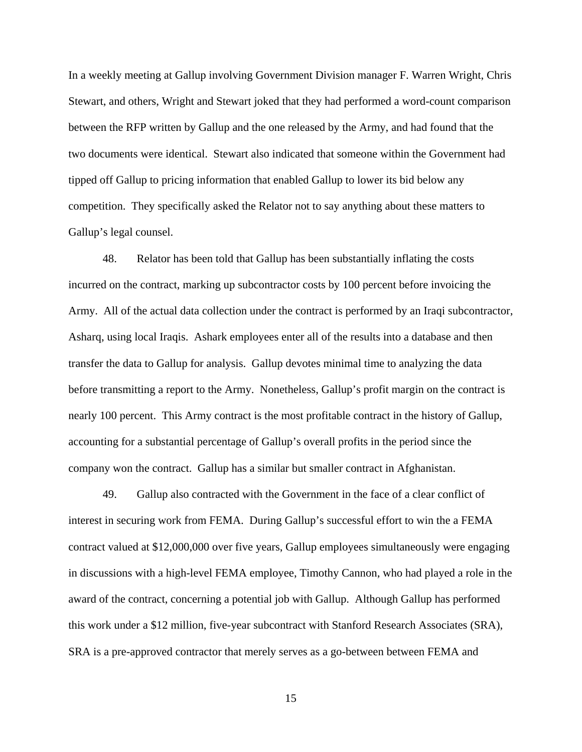In a weekly meeting at Gallup involving Government Division manager F. Warren Wright, Chris Stewart, and others, Wright and Stewart joked that they had performed a word-count comparison between the RFP written by Gallup and the one released by the Army, and had found that the two documents were identical. Stewart also indicated that someone within the Government had tipped off Gallup to pricing information that enabled Gallup to lower its bid below any competition. They specifically asked the Relator not to say anything about these matters to Gallup's legal counsel.

48. Relator has been told that Gallup has been substantially inflating the costs incurred on the contract, marking up subcontractor costs by 100 percent before invoicing the Army. All of the actual data collection under the contract is performed by an Iraqi subcontractor, Asharq, using local Iraqis. Ashark employees enter all of the results into a database and then transfer the data to Gallup for analysis. Gallup devotes minimal time to analyzing the data before transmitting a report to the Army. Nonetheless, Gallup's profit margin on the contract is nearly 100 percent. This Army contract is the most profitable contract in the history of Gallup, accounting for a substantial percentage of Gallup's overall profits in the period since the company won the contract. Gallup has a similar but smaller contract in Afghanistan.

49. Gallup also contracted with the Government in the face of a clear conflict of interest in securing work from FEMA. During Gallup's successful effort to win the a FEMA contract valued at \$12,000,000 over five years, Gallup employees simultaneously were engaging in discussions with a high-level FEMA employee, Timothy Cannon, who had played a role in the award of the contract, concerning a potential job with Gallup. Although Gallup has performed this work under a \$12 million, five-year subcontract with Stanford Research Associates (SRA), SRA is a pre-approved contractor that merely serves as a go-between between FEMA and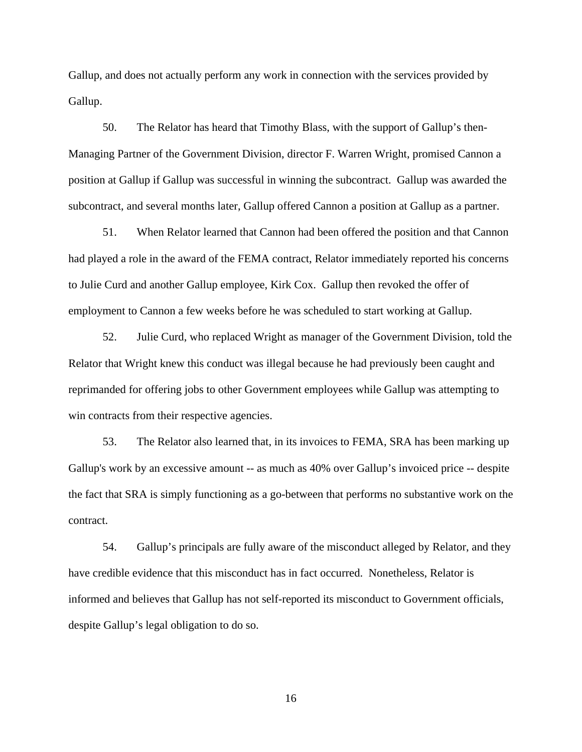Gallup, and does not actually perform any work in connection with the services provided by Gallup.

50. The Relator has heard that Timothy Blass, with the support of Gallup's then-Managing Partner of the Government Division, director F. Warren Wright, promised Cannon a position at Gallup if Gallup was successful in winning the subcontract. Gallup was awarded the subcontract, and several months later, Gallup offered Cannon a position at Gallup as a partner.

51. When Relator learned that Cannon had been offered the position and that Cannon had played a role in the award of the FEMA contract, Relator immediately reported his concerns to Julie Curd and another Gallup employee, Kirk Cox. Gallup then revoked the offer of employment to Cannon a few weeks before he was scheduled to start working at Gallup.

52. Julie Curd, who replaced Wright as manager of the Government Division, told the Relator that Wright knew this conduct was illegal because he had previously been caught and reprimanded for offering jobs to other Government employees while Gallup was attempting to win contracts from their respective agencies.

53. The Relator also learned that, in its invoices to FEMA, SRA has been marking up Gallup's work by an excessive amount -- as much as 40% over Gallup's invoiced price -- despite the fact that SRA is simply functioning as a go-between that performs no substantive work on the contract.

54. Gallup's principals are fully aware of the misconduct alleged by Relator, and they have credible evidence that this misconduct has in fact occurred. Nonetheless, Relator is informed and believes that Gallup has not self-reported its misconduct to Government officials, despite Gallup's legal obligation to do so.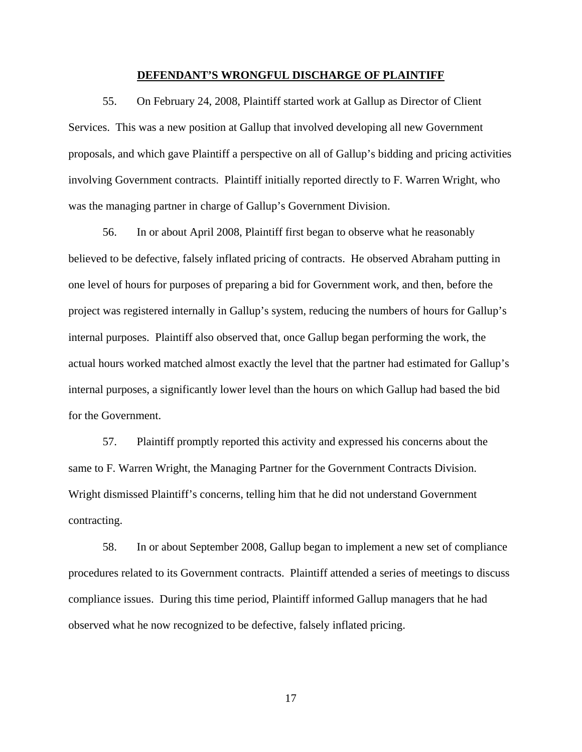#### **DEFENDANT'S WRONGFUL DISCHARGE OF PLAINTIFF**

55. On February 24, 2008, Plaintiff started work at Gallup as Director of Client Services. This was a new position at Gallup that involved developing all new Government proposals, and which gave Plaintiff a perspective on all of Gallup's bidding and pricing activities involving Government contracts. Plaintiff initially reported directly to F. Warren Wright, who was the managing partner in charge of Gallup's Government Division.

56. In or about April 2008, Plaintiff first began to observe what he reasonably believed to be defective, falsely inflated pricing of contracts. He observed Abraham putting in one level of hours for purposes of preparing a bid for Government work, and then, before the project was registered internally in Gallup's system, reducing the numbers of hours for Gallup's internal purposes. Plaintiff also observed that, once Gallup began performing the work, the actual hours worked matched almost exactly the level that the partner had estimated for Gallup's internal purposes, a significantly lower level than the hours on which Gallup had based the bid for the Government.

57. Plaintiff promptly reported this activity and expressed his concerns about the same to F. Warren Wright, the Managing Partner for the Government Contracts Division. Wright dismissed Plaintiff's concerns, telling him that he did not understand Government contracting.

58. In or about September 2008, Gallup began to implement a new set of compliance procedures related to its Government contracts. Plaintiff attended a series of meetings to discuss compliance issues. During this time period, Plaintiff informed Gallup managers that he had observed what he now recognized to be defective, falsely inflated pricing.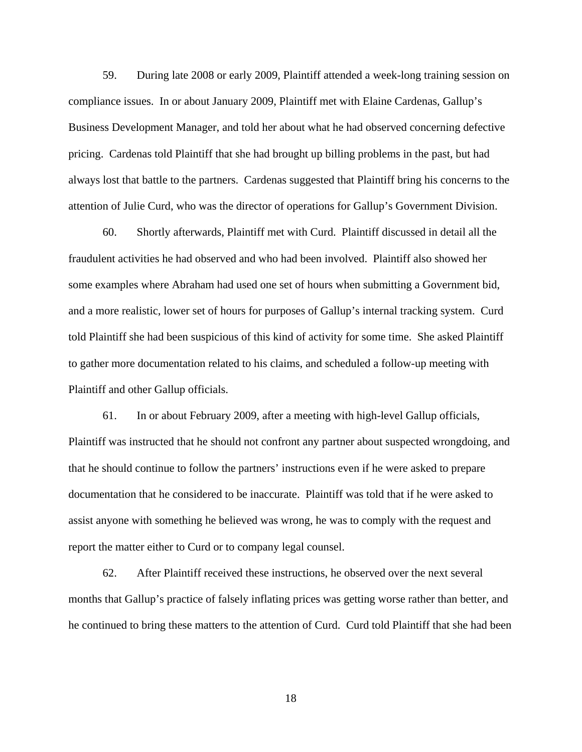59. During late 2008 or early 2009, Plaintiff attended a week-long training session on compliance issues. In or about January 2009, Plaintiff met with Elaine Cardenas, Gallup's Business Development Manager, and told her about what he had observed concerning defective pricing. Cardenas told Plaintiff that she had brought up billing problems in the past, but had always lost that battle to the partners. Cardenas suggested that Plaintiff bring his concerns to the attention of Julie Curd, who was the director of operations for Gallup's Government Division.

60. Shortly afterwards, Plaintiff met with Curd. Plaintiff discussed in detail all the fraudulent activities he had observed and who had been involved. Plaintiff also showed her some examples where Abraham had used one set of hours when submitting a Government bid, and a more realistic, lower set of hours for purposes of Gallup's internal tracking system. Curd told Plaintiff she had been suspicious of this kind of activity for some time. She asked Plaintiff to gather more documentation related to his claims, and scheduled a follow-up meeting with Plaintiff and other Gallup officials.

61. In or about February 2009, after a meeting with high-level Gallup officials, Plaintiff was instructed that he should not confront any partner about suspected wrongdoing, and that he should continue to follow the partners' instructions even if he were asked to prepare documentation that he considered to be inaccurate. Plaintiff was told that if he were asked to assist anyone with something he believed was wrong, he was to comply with the request and report the matter either to Curd or to company legal counsel.

62. After Plaintiff received these instructions, he observed over the next several months that Gallup's practice of falsely inflating prices was getting worse rather than better, and he continued to bring these matters to the attention of Curd. Curd told Plaintiff that she had been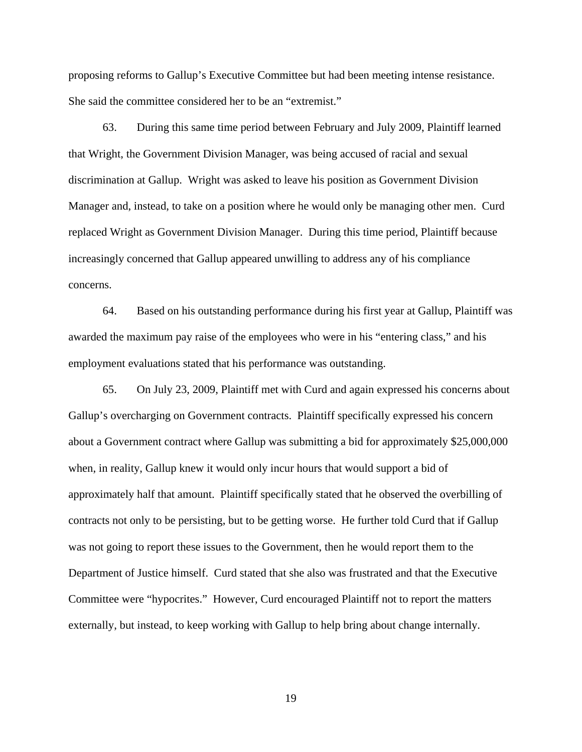proposing reforms to Gallup's Executive Committee but had been meeting intense resistance. She said the committee considered her to be an "extremist."

63. During this same time period between February and July 2009, Plaintiff learned that Wright, the Government Division Manager, was being accused of racial and sexual discrimination at Gallup. Wright was asked to leave his position as Government Division Manager and, instead, to take on a position where he would only be managing other men. Curd replaced Wright as Government Division Manager. During this time period, Plaintiff because increasingly concerned that Gallup appeared unwilling to address any of his compliance concerns.

64. Based on his outstanding performance during his first year at Gallup, Plaintiff was awarded the maximum pay raise of the employees who were in his "entering class," and his employment evaluations stated that his performance was outstanding.

65. On July 23, 2009, Plaintiff met with Curd and again expressed his concerns about Gallup's overcharging on Government contracts. Plaintiff specifically expressed his concern about a Government contract where Gallup was submitting a bid for approximately \$25,000,000 when, in reality, Gallup knew it would only incur hours that would support a bid of approximately half that amount. Plaintiff specifically stated that he observed the overbilling of contracts not only to be persisting, but to be getting worse. He further told Curd that if Gallup was not going to report these issues to the Government, then he would report them to the Department of Justice himself. Curd stated that she also was frustrated and that the Executive Committee were "hypocrites." However, Curd encouraged Plaintiff not to report the matters externally, but instead, to keep working with Gallup to help bring about change internally.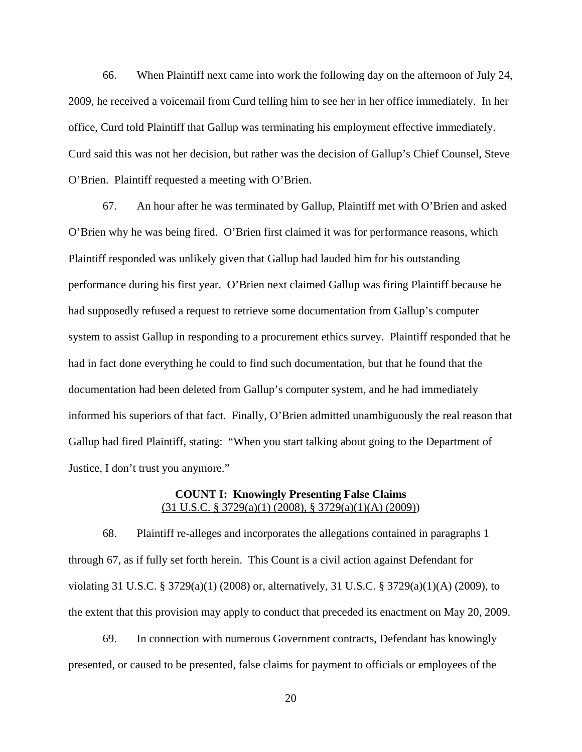66. When Plaintiff next came into work the following day on the afternoon of July 24, 2009, he received a voicemail from Curd telling him to see her in her office immediately. In her office, Curd told Plaintiff that Gallup was terminating his employment effective immediately. Curd said this was not her decision, but rather was the decision of Gallup's Chief Counsel, Steve O'Brien. Plaintiff requested a meeting with O'Brien.

67. An hour after he was terminated by Gallup, Plaintiff met with O'Brien and asked O'Brien why he was being fired. O'Brien first claimed it was for performance reasons, which Plaintiff responded was unlikely given that Gallup had lauded him for his outstanding performance during his first year. O'Brien next claimed Gallup was firing Plaintiff because he had supposedly refused a request to retrieve some documentation from Gallup's computer system to assist Gallup in responding to a procurement ethics survey. Plaintiff responded that he had in fact done everything he could to find such documentation, but that he found that the documentation had been deleted from Gallup's computer system, and he had immediately informed his superiors of that fact. Finally, O'Brien admitted unambiguously the real reason that Gallup had fired Plaintiff, stating: "When you start talking about going to the Department of Justice, I don't trust you anymore."

## **COUNT I: Knowingly Presenting False Claims**  (31 U.S.C. § 3729(a)(1) (2008), § 3729(a)(1)(A) (2009))

68. Plaintiff re-alleges and incorporates the allegations contained in paragraphs 1 through 67, as if fully set forth herein. This Count is a civil action against Defendant for violating 31 U.S.C. § 3729(a)(1) (2008) or, alternatively, 31 U.S.C. § 3729(a)(1)(A) (2009), to the extent that this provision may apply to conduct that preceded its enactment on May 20, 2009.

69. In connection with numerous Government contracts, Defendant has knowingly presented, or caused to be presented, false claims for payment to officials or employees of the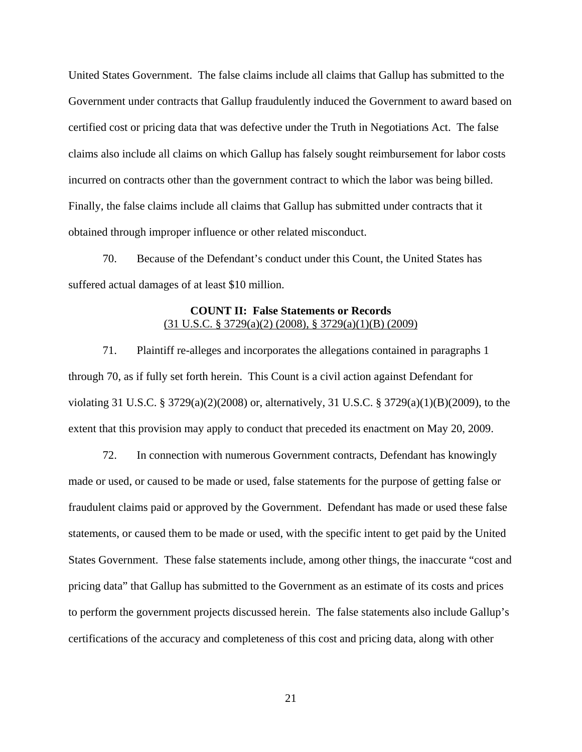United States Government. The false claims include all claims that Gallup has submitted to the Government under contracts that Gallup fraudulently induced the Government to award based on certified cost or pricing data that was defective under the Truth in Negotiations Act. The false claims also include all claims on which Gallup has falsely sought reimbursement for labor costs incurred on contracts other than the government contract to which the labor was being billed. Finally, the false claims include all claims that Gallup has submitted under contracts that it obtained through improper influence or other related misconduct.

70. Because of the Defendant's conduct under this Count, the United States has suffered actual damages of at least \$10 million.

# **COUNT II: False Statements or Records**  (31 U.S.C. § 3729(a)(2) (2008), § 3729(a)(1)(B) (2009)

71. Plaintiff re-alleges and incorporates the allegations contained in paragraphs 1 through 70, as if fully set forth herein. This Count is a civil action against Defendant for violating 31 U.S.C. § 3729(a)(2)(2008) or, alternatively, 31 U.S.C. § 3729(a)(1)(B)(2009), to the extent that this provision may apply to conduct that preceded its enactment on May 20, 2009.

72. In connection with numerous Government contracts, Defendant has knowingly made or used, or caused to be made or used, false statements for the purpose of getting false or fraudulent claims paid or approved by the Government. Defendant has made or used these false statements, or caused them to be made or used, with the specific intent to get paid by the United States Government. These false statements include, among other things, the inaccurate "cost and pricing data" that Gallup has submitted to the Government as an estimate of its costs and prices to perform the government projects discussed herein. The false statements also include Gallup's certifications of the accuracy and completeness of this cost and pricing data, along with other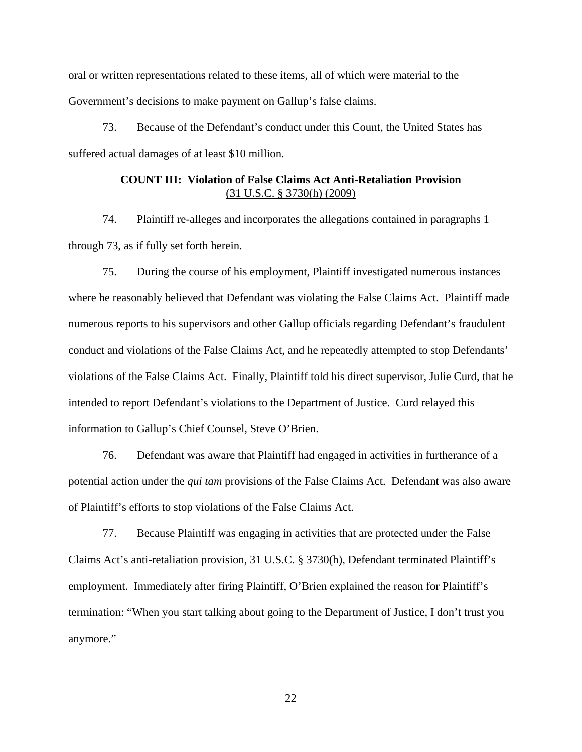oral or written representations related to these items, all of which were material to the Government's decisions to make payment on Gallup's false claims.

73. Because of the Defendant's conduct under this Count, the United States has suffered actual damages of at least \$10 million.

# **COUNT III: Violation of False Claims Act Anti-Retaliation Provision**  (31 U.S.C. § 3730(h) (2009)

74. Plaintiff re-alleges and incorporates the allegations contained in paragraphs 1 through 73, as if fully set forth herein.

75. During the course of his employment, Plaintiff investigated numerous instances where he reasonably believed that Defendant was violating the False Claims Act. Plaintiff made numerous reports to his supervisors and other Gallup officials regarding Defendant's fraudulent conduct and violations of the False Claims Act, and he repeatedly attempted to stop Defendants' violations of the False Claims Act. Finally, Plaintiff told his direct supervisor, Julie Curd, that he intended to report Defendant's violations to the Department of Justice. Curd relayed this information to Gallup's Chief Counsel, Steve O'Brien.

76. Defendant was aware that Plaintiff had engaged in activities in furtherance of a potential action under the *qui tam* provisions of the False Claims Act. Defendant was also aware of Plaintiff's efforts to stop violations of the False Claims Act.

77. Because Plaintiff was engaging in activities that are protected under the False Claims Act's anti-retaliation provision, 31 U.S.C. § 3730(h), Defendant terminated Plaintiff's employment. Immediately after firing Plaintiff, O'Brien explained the reason for Plaintiff's termination: "When you start talking about going to the Department of Justice, I don't trust you anymore."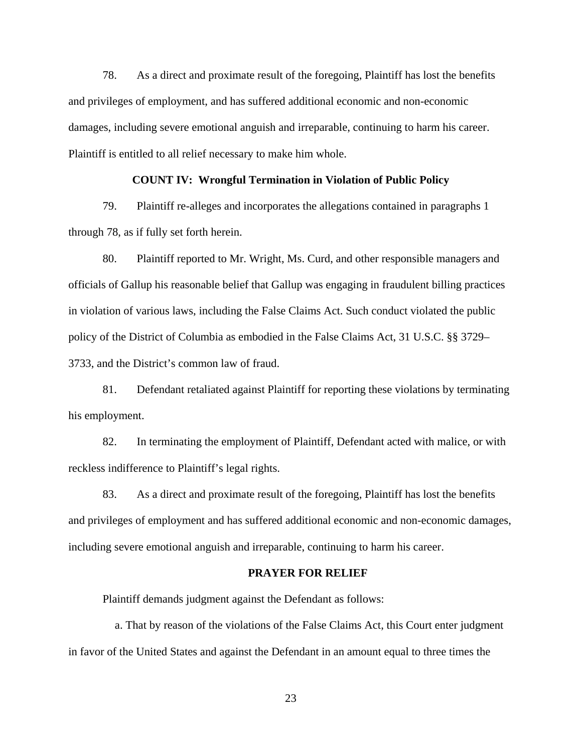78. As a direct and proximate result of the foregoing, Plaintiff has lost the benefits and privileges of employment, and has suffered additional economic and non-economic damages, including severe emotional anguish and irreparable, continuing to harm his career. Plaintiff is entitled to all relief necessary to make him whole.

### **COUNT IV: Wrongful Termination in Violation of Public Policy**

79. Plaintiff re-alleges and incorporates the allegations contained in paragraphs 1 through 78, as if fully set forth herein.

80. Plaintiff reported to Mr. Wright, Ms. Curd, and other responsible managers and officials of Gallup his reasonable belief that Gallup was engaging in fraudulent billing practices in violation of various laws, including the False Claims Act. Such conduct violated the public policy of the District of Columbia as embodied in the False Claims Act, 31 U.S.C. §§ 3729– 3733, and the District's common law of fraud.

81. Defendant retaliated against Plaintiff for reporting these violations by terminating his employment.

82. In terminating the employment of Plaintiff, Defendant acted with malice, or with reckless indifference to Plaintiff's legal rights.

83. As a direct and proximate result of the foregoing, Plaintiff has lost the benefits and privileges of employment and has suffered additional economic and non-economic damages, including severe emotional anguish and irreparable, continuing to harm his career.

#### **PRAYER FOR RELIEF**

Plaintiff demands judgment against the Defendant as follows:

a. That by reason of the violations of the False Claims Act, this Court enter judgment in favor of the United States and against the Defendant in an amount equal to three times the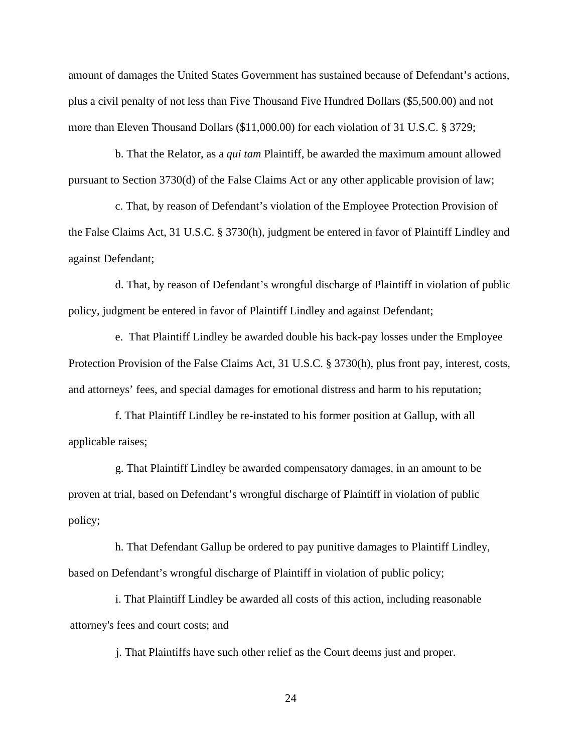amount of damages the United States Government has sustained because of Defendant's actions, plus a civil penalty of not less than Five Thousand Five Hundred Dollars (\$5,500.00) and not more than Eleven Thousand Dollars (\$11,000.00) for each violation of 31 U.S.C. § 3729;

b. That the Relator, as a *qui tam* Plaintiff, be awarded the maximum amount allowed pursuant to Section 3730(d) of the False Claims Act or any other applicable provision of law;

c. That, by reason of Defendant's violation of the Employee Protection Provision of the False Claims Act, 31 U.S.C. § 3730(h), judgment be entered in favor of Plaintiff Lindley and against Defendant;

d. That, by reason of Defendant's wrongful discharge of Plaintiff in violation of public policy, judgment be entered in favor of Plaintiff Lindley and against Defendant;

e. That Plaintiff Lindley be awarded double his back-pay losses under the Employee Protection Provision of the False Claims Act, 31 U.S.C. § 3730(h), plus front pay, interest, costs, and attorneys' fees, and special damages for emotional distress and harm to his reputation;

f. That Plaintiff Lindley be re-instated to his former position at Gallup, with all applicable raises;

g. That Plaintiff Lindley be awarded compensatory damages, in an amount to be proven at trial, based on Defendant's wrongful discharge of Plaintiff in violation of public policy;

h. That Defendant Gallup be ordered to pay punitive damages to Plaintiff Lindley, based on Defendant's wrongful discharge of Plaintiff in violation of public policy;

i. That Plaintiff Lindley be awarded all costs of this action, including reasonable attorney's fees and court costs; and

j. That Plaintiffs have such other relief as the Court deems just and proper.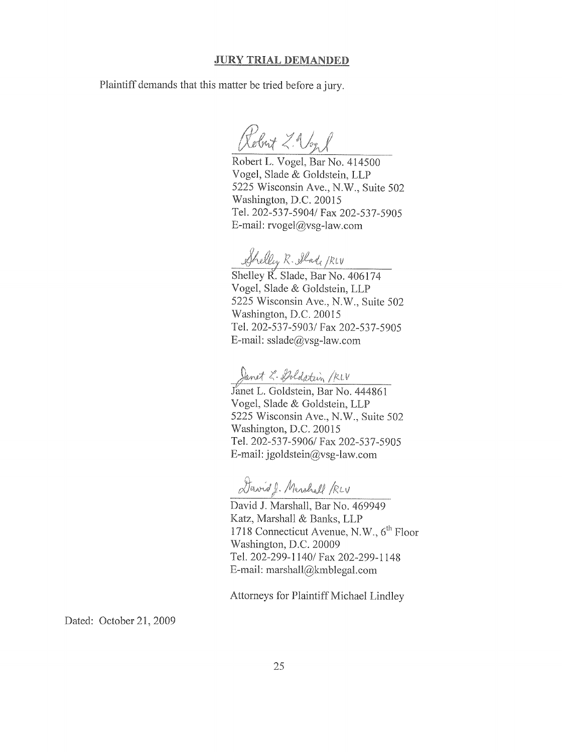#### **JURY TRIAL DEMANDED**

Plaintiff demands that this matter be tried before a jury.

Robert Z. Vonl

Robert L. Vogel, Bar No. 414500 Vogel, Slade & Goldstein, LLP 5225 Wisconsin Ave., N.W., Suite 502 Washington, D.C. 20015 Tel. 202-537-5904/ Fax 202-537-5905 E-mail: rvogel@vsg-law.com

Shelley R. Alade Riv<br>Shelley R. Slade, Bar No. 406174

Vogel, Slade & Goldstein, LLP 5225 Wisconsin Ave., N.W., Suite 502 Washington, D.C. 20015 Tel. 202-537-5903/ Fax 202-537-5905 E-mail:  $sslade@vsg-law.com$ 

Danet 2. Poldstein / KLV<br>Janet L. Goldstein, Bar No. 444861 Vogel, Slade & Goldstein, LLP 5225 Wisconsin Ave., N.W., Suite 502 Washington, D.C. 20015 Tel. 202-537-5906/ Fax 202-537-5905 E-mail:  $igoldstein@vsg-law.com$ 

David J. Marshall /RLV

David J. Marshall, Bar No. 469949 Katz, Marshall & Banks, LLP 1718 Connecticut Avenue, N.W., 6<sup>th</sup> Floor Washington, D.C. 20009 Tel. 202-299-1140/ Fax 202-299-1148 E-mail: marshall@kmblegal.com

Attorneys for Plaintiff Michael Lindley

Dated: October 21, 2009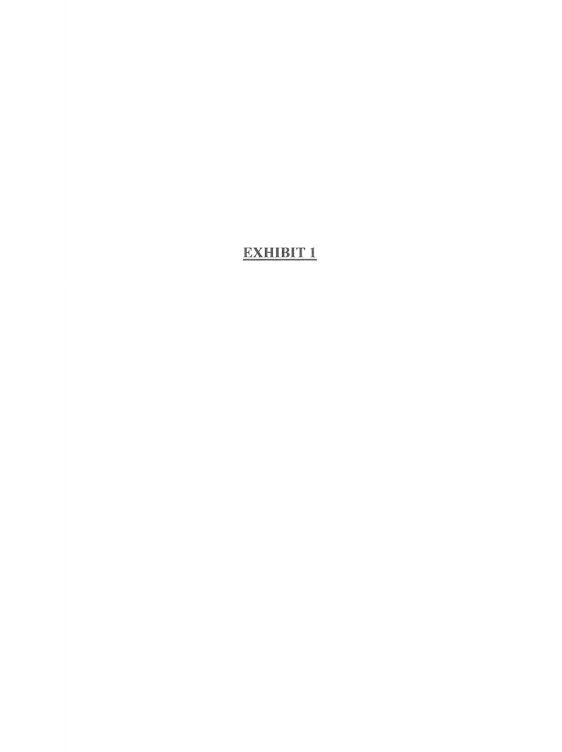# EXHIBIT 1